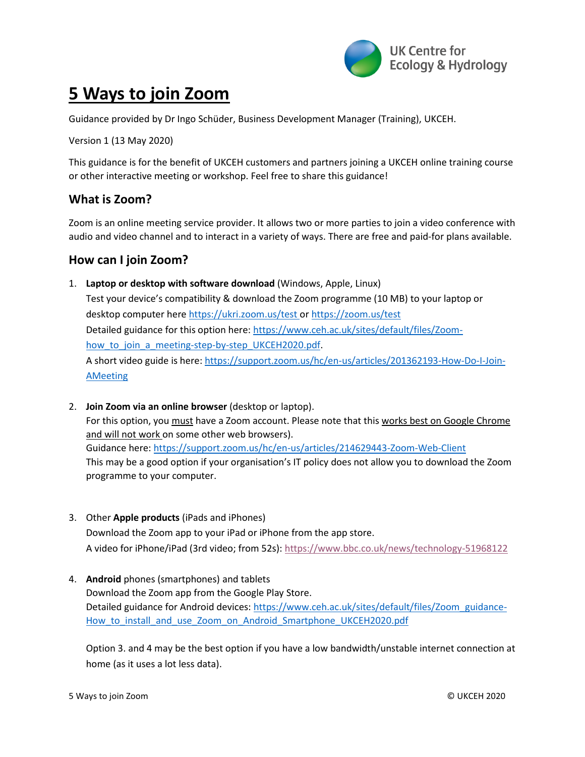

## **5 Ways to join Zoom**

Guidance provided by Dr Ingo Schüder, Business Development Manager (Training), UKCEH.

Version 1 (13 May 2020)

This guidance is for the benefit of UKCEH customers and partners joining a UKCEH online training course or other interactive meeting or workshop. Feel free to share this guidance!

## **What is Zoom?**

Zoom is an online meeting service provider. It allows two or more parties to join a video conference with audio and video channel and to interact in a variety of ways. There are free and paid-for plans available.

## **How can I join Zoom?**

- 1. **Laptop or desktop with software download** (Windows, Apple, Linux) Test your device's compatibility & download the Zoom programme (10 MB) to your laptop or desktop computer her[e https://ukri.zoom.us/test](https://ukri.zoom.us/test) or<https://zoom.us/test> Detailed guidance for this option here: [https://www.ceh.ac.uk/sites/default/files/Zoom](https://www.ceh.ac.uk/sites/default/files/Zoom-how_to_join_a_meeting-step-by-step_UKCEH2020.pdf)how to join a meeting-step-by-step UKCEH2020.pdf. A short video guide is here: [https://support.zoom.us/hc/en-us/articles/201362193-How-Do-I-Join-](https://support.zoom.us/hc/en-us/articles/201362193-How-Do-I-Join-AMeeting)[AMeeting](https://support.zoom.us/hc/en-us/articles/201362193-How-Do-I-Join-AMeeting)
- 2. **Join Zoom via an online browser** (desktop or laptop). For this option, you must have a Zoom account. Please note that this works best on Google Chrome and will not work on some other web browsers). Guidance here[: https://support.zoom.us/hc/en-us/articles/214629443-Zoom-Web-Client](https://support.zoom.us/hc/en-us/articles/214629443-Zoom-Web-Client) This may be a good option if your organisation's IT policy does not allow you to download the Zoom programme to your computer.
- 3. Other **Apple products** (iPads and iPhones) Download the Zoom app to your iPad or iPhone from the app store. A video for iPhone/iPad (3rd video; from 52s): <https://www.bbc.co.uk/news/technology-51968122>
- 4. **Android** phones (smartphones) and tablets Download the Zoom app from the Google Play Store. Detailed guidance for Android devices: [https://www.ceh.ac.uk/sites/default/files/Zoom\\_guidance-](https://www.ceh.ac.uk/sites/default/files/Zoom_guidance-How_to_install_and_use_Zoom_on_Android_Smartphone_UKCEH2020.pdf)How to install and use Zoom on Android Smartphone UKCEH2020.pdf

Option 3. and 4 may be the best option if you have a low bandwidth/unstable internet connection at home (as it uses a lot less data).